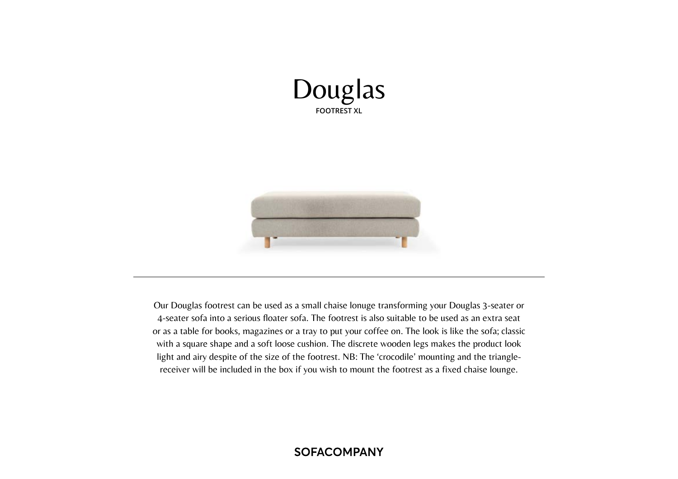



Our Douglas footrest can be used as a small chaise lonuge transforming your Douglas 3-seater or 4-seater sofa into a serious floater sofa. The footrest is also suitable to be used as an extra seat or as a table for books, magazines or a tray to put your coffee on. The look is like the sofa; classic with a square shape and a soft loose cushion. The discrete wooden legs makes the product look light and airy despite of the size of the footrest. NB: The 'crocodile' mounting and the trianglereceiver will be included in the box if you wish to mount the footrest as a fixed chaise lounge.

# **SOFACOMPANY**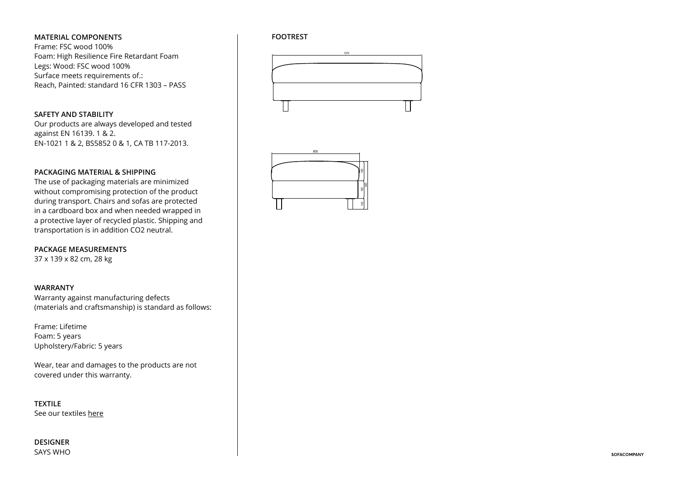## **MATERIAL COMPONENTS**

Frame: FSC wood 100% Foam: High Resilience Fire Retardant Foam Legs: Wood: FSC wood 100% Surface meets requirements of.: Reach, Painted: standard 16 CFR 1303 – PASS

### **SAFETY AND STABILITY**

Our products are always developed and tested against EN 16139. 1 & 2. EN-1021 1 & 2, BS5852 0 & 1, CA TB 117-2013.

## **PACKAGING MATERIAL & SHIPPING**

The use of packaging materials are minimized without compromising protection of the product during transport. Chairs and sofas are protected in a cardboard box and when needed wrapped in a protective layer of recycled plastic. Shipping and transportation is in addition CO2 neutral.

#### **PACKAGE MEASUREMENTS**

37 x 139 x 82 cm, 28 kg

#### **WARRANTY**

Warranty against manufacturing defects (materials and craftsmanship) is standard as follows:

Frame: Lifetime Foam: 5 years Upholstery/Fabric: 5 years

Wear, tear and damages to the products are not covered under this warranty.

**TEXTILE** See our textiles here

**DESIGNER** SAYS WHO

## **FOOTREST**